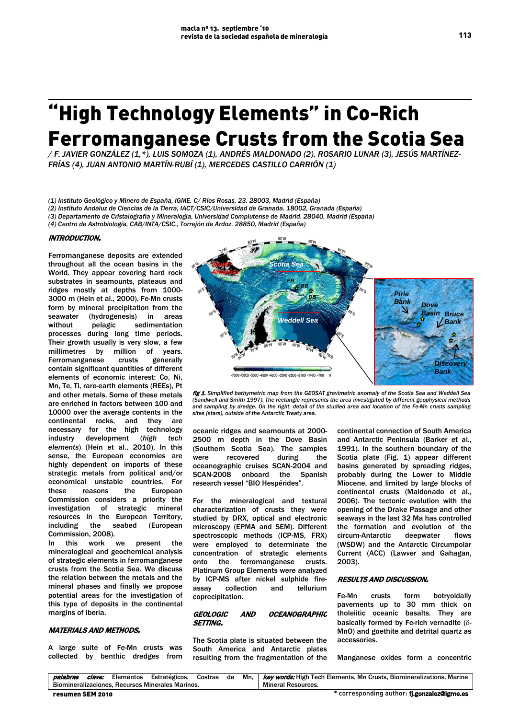# "High Technology Elements" in Co-Rich Ferromanganese Crusts from the Scotia Sea

*/ F. JAVIER GONZÁLEZ (1,\*), LUIS SOMOZA (1), ANDRÉS MALDONADO (2), ROSARIO LUNAR (3), JESÚS MARTÍNEZ-FRÍAS (4), JUAN ANTONIO MARTÍN-RUBÍ (1), MERCEDES CASTILLO CARRIÓN (1)*

*(1) Instituto Geológico y Minero de España, IGME. C/ Ríos Rosas, 23. 28003, Madrid (España)*

*(2) Instituto Andaluz de Ciencias de la Tierra, IACT/CSIC/Universidad de Granada. 18002, Granada (España)*

*(3) Departamento de Cristalografía y Mineralogía, Universidad Complutense de Madrid. 28040, Madrid (España)*

*(4) Centro de Astrobiología, CAB/INTA/CSIC., Torrejón de Ardoz. 28850, Madrid (España)*

## INTRODUCTION.

Ferromanganese deposits are extended throughout all the ocean basins in the World. They appear covering hard rock substrates in seamounts, plateaus and ridges mostly at depths from 1000- 3000 m (Hein et al., 2000). Fe-Mn crusts form by mineral precipitation from the seawater (hydrogenesis) in areas without pelagic sedimentation processes during long time periods. Their growth usually is very slow, a few millimetres by million of years.<br>Ferromanganese crusts generally Ferromanganese crusts generally contain significant quantities of different elements of economic interest: Co, Ni, Mn, Te, Ti, rare-earth elements (REEs), Pt and other metals. Some of these metals are enriched in factors between 100 and 10000 over the average contents in the continental rocks, and they are necessary for the high technology industry development (*high tech elements*) (Hein et al., 2010). In this sense, the European economies are highly dependent on imports of these strategic metals from political and/or economical unstable countries. For these reasons the European Commission considers a priority the investigation of strategic mineral resources in the European Territory, including the seabed (European Commission, 2008).

In this work we present the mineralogical and geochemical analysis of strategic elements in ferromanganese crusts from the Scotia Sea. We discuss the relation between the metals and the mineral phases and finally we propose potential areas for the investigation of this type of deposits in the continental margins of Iberia.

## MATERIALS AND METHODS.

A large suite of Fe-Mn crusts was collected by benthic dredges from



fig 1. *Simplified bathymetric map from the GEOSAT gravimetric anomaly of the Scotia Sea and Weddell Sea (Sandwell and Smith 1997). The rectangle represents the area investigated by different geophysical methods and sampling by dredge. On the right, detail of the studied area and location of the Fe-Mn crusts sampling sites (stars), outside of the Antarctic Treaty area.* 

oceanic ridges and seamounts at 2000- 2500 m depth in the Dove Basin (Southern Scotia Sea). The samples were recovered during the oceanographic cruises SCAN-2004 and SCAN-2008 onboard the Spanish research vessel "BIO Hespérides".

For the mineralogical and textural characterization of crusts they were studied by DRX, optical and electronic microscopy (EPMA and SEM). Different spectroscopic methods (ICP-MS, FRX) were employed to determinate the concentration of strategic elements onto the ferromanganese crusts. Platinum Group Elements were analyzed by ICP-MS after nickel sulphide fireassay collection and tellurium coprecipitation.

### GEOLOGIC AND OCEANOGRAPHIC SETTING.

The Scotia plate is situated between the South America and Antarctic plates resulting from the fragmentation of the continental connection of South America and Antarctic Peninsula (Barker et al., 1991). In the southern boundary of the Scotia plate (Fig. 1) appear different basins generated by spreading ridges, probably during the Lower to Middle Miocene, and limited by large blocks of continental crusts (Maldonado et al., 2006). The tectonic evolution with the opening of the Drake Passage and other seaways in the last 32 Ma has controlled the formation and evolution of the circum-Antarctic deepwater flows (WSDW) and the Antarctic Circumpolar Current (ACC) (Lawver and Gahagan, 2003).

#### RESULTS AND DISCUSSION.

Fe-Mn crusts form botryoidally pavements up to 30 mm thick on tholeiitic oceanic basalts. They are basically formed by Fe-rich vernadite (δ-MnO) and goethite and detrital quartz as accessories.

Manganese oxides form a concentric

| palabras         | clave: | Elementos | Estratégicos.                                           |  |                           | Costras de Mn,   key words: High Tech Elements, Mn Crusts, Biomineralizations, Marine |  |  |
|------------------|--------|-----------|---------------------------------------------------------|--|---------------------------|---------------------------------------------------------------------------------------|--|--|
|                  |        |           | <b>Biomineralizaciones, Recursos Minerales Marinos.</b> |  | <b>Mineral Resources.</b> |                                                                                       |  |  |
| resumen SEM 2010 |        |           |                                                         |  |                           | * corresponding author: fj.gonzalez@igme.es                                           |  |  |